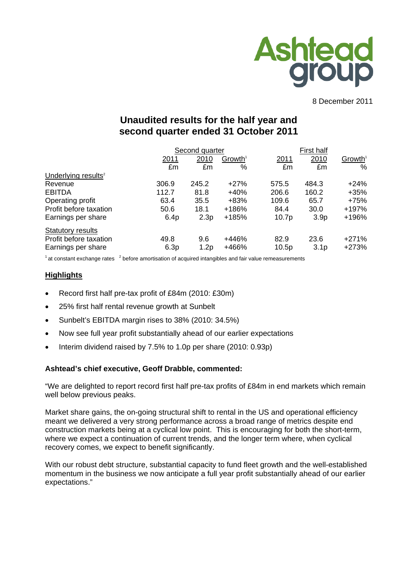

8 December 2011

# **Unaudited results for the half year and second quarter ended 31 October 2011**

|                                 |       | Second quarter |                     | <b>First half</b> |                  |                     |
|---------------------------------|-------|----------------|---------------------|-------------------|------------------|---------------------|
|                                 | 2011  | 2010           | Growth <sup>1</sup> | 2011              | 2010             | Growth <sup>1</sup> |
|                                 | £m    | £m             | %                   | £m                | £m               | %                   |
| Underlying results <sup>2</sup> |       |                |                     |                   |                  |                     |
| Revenue                         | 306.9 | 245.2          | $+27%$              | 575.5             | 484.3            | $+24%$              |
| <b>EBITDA</b>                   | 112.7 | 81.8           | $+40%$              | 206.6             | 160.2            | $+35%$              |
| Operating profit                | 63.4  | 35.5           | $+83%$              | 109.6             | 65.7             | $+75%$              |
| Profit before taxation          | 50.6  | 18.1           | +186%               | 84.4              | 30.0             | +197%               |
| Earnings per share              | 6.4p  | 2.3p           | +185%               | 10.7p             | 3.9 <sub>p</sub> | +196%               |
| Statutory results               |       |                |                     |                   |                  |                     |
| Profit before taxation          | 49.8  | 9.6            | +446%               | 82.9              | 23.6             | $+271%$             |
| Earnings per share              | 6.3p  | 1.2p           | +466%               | 10.5p             | 3.1 <sub>p</sub> | +273%               |

 $1$  at constant exchange rates  $2$  before amortisation of acquired intangibles and fair value remeasurements

### **Highlights**

- Record first half pre-tax profit of £84m (2010: £30m)
- 25% first half rental revenue growth at Sunbelt
- Sunbelt's EBITDA margin rises to 38% (2010: 34.5%)
- Now see full year profit substantially ahead of our earlier expectations
- Interim dividend raised by 7.5% to 1.0p per share (2010: 0.93p)

#### **Ashtead's chief executive, Geoff Drabble, commented:**

"We are delighted to report record first half pre-tax profits of £84m in end markets which remain well below previous peaks.

Market share gains, the on-going structural shift to rental in the US and operational efficiency meant we delivered a very strong performance across a broad range of metrics despite end construction markets being at a cyclical low point. This is encouraging for both the short-term, where we expect a continuation of current trends, and the longer term where, when cyclical recovery comes, we expect to benefit significantly.

With our robust debt structure, substantial capacity to fund fleet growth and the well-established momentum in the business we now anticipate a full year profit substantially ahead of our earlier expectations."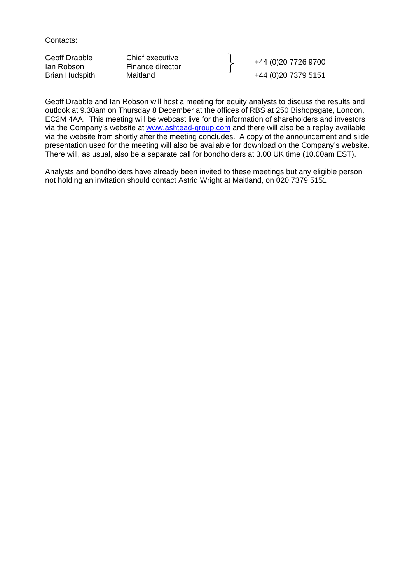Contacts:

| Geoff Drabble<br>lan Robson | Chief executive<br>Finance director | +44 (0)20 7726 9700  |
|-----------------------------|-------------------------------------|----------------------|
| <b>Brian Hudspith</b>       | Maitland                            | +44 (0) 20 7379 5151 |

Geoff Drabble and Ian Robson will host a meeting for equity analysts to discuss the results and outlook at 9.30am on Thursday 8 December at the offices of RBS at 250 Bishopsgate, London, EC2M 4AA. This meeting will be webcast live for the information of shareholders and investors via the Company's website at [www.ashtead-group.com](http://www.ashtead-group.com/) and there will also be a replay available via the website from shortly after the meeting concludes. A copy of the announcement and slide presentation used for the meeting will also be available for download on the Company's website. There will, as usual, also be a separate call for bondholders at 3.00 UK time (10.00am EST).

Analysts and bondholders have already been invited to these meetings but any eligible person not holding an invitation should contact Astrid Wright at Maitland, on 020 7379 5151.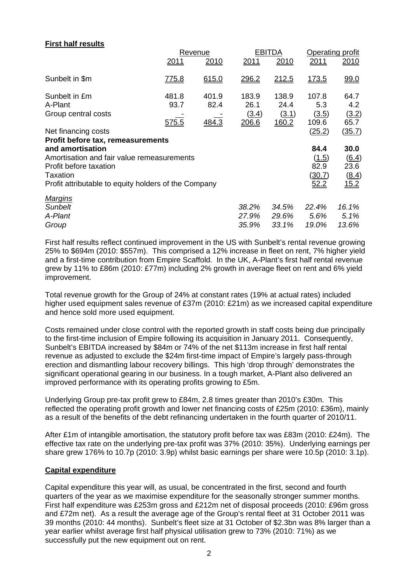# **First half results**

|                                                      |       | Revenue |       | <b>EBITDA</b> | Operating profit |               |  |
|------------------------------------------------------|-------|---------|-------|---------------|------------------|---------------|--|
|                                                      | 2011  | 2010    | 2011  | 2010          | 2011             | 2010          |  |
| Sunbelt in \$m                                       | 775.8 | 615.0   | 296.2 | 212.5         | <u>173.5</u>     | 99.0          |  |
| Sunbelt in £m                                        | 481.8 | 401.9   | 183.9 | 138.9         | 107.8            | 64.7          |  |
| A-Plant                                              | 93.7  | 82.4    | 26.1  | 24.4          | 5.3              | 4.2           |  |
| Group central costs                                  |       |         | (3.4) | (3.1)         | (3.5)            | (3.2)         |  |
|                                                      | 575.5 | 484.3   | 206.6 | 160.2         | 109.6            | 65.7          |  |
| Net financing costs                                  |       |         |       |               | (25.2)           | <u>(35.7)</u> |  |
| <b>Profit before tax, remeasurements</b>             |       |         |       |               |                  |               |  |
| and amortisation                                     |       |         |       |               | 84.4             | 30.0          |  |
| Amortisation and fair value remeasurements           |       |         |       |               | (1.5)            | (6.4)         |  |
| Profit before taxation                               |       |         |       |               | 82.9             | 23.6          |  |
| <b>Taxation</b>                                      |       |         |       |               | <u>(30.7)</u>    | (8.4)         |  |
| Profit attributable to equity holders of the Company |       |         |       |               | 52.2             | 15.2          |  |
| <b>Margins</b>                                       |       |         |       |               |                  |               |  |
| <b>Sunbelt</b>                                       |       |         | 38.2% | 34.5%         | 22.4%            | 16.1%         |  |
| A-Plant                                              |       |         | 27.9% | 29.6%         | 5.6%             | 5.1%          |  |
| Group                                                |       |         | 35.9% | 33.1%         | 19.0%            | 13.6%         |  |

First half results reflect continued improvement in the US with Sunbelt's rental revenue growing 25% to \$694m (2010: \$557m). This comprised a 12% increase in fleet on rent, 7% higher yield and a first-time contribution from Empire Scaffold. In the UK, A-Plant's first half rental revenue grew by 11% to £86m (2010: £77m) including 2% growth in average fleet on rent and 6% yield improvement.

Total revenue growth for the Group of 24% at constant rates (19% at actual rates) included higher used equipment sales revenue of £37m (2010: £21m) as we increased capital expenditure and hence sold more used equipment.

Costs remained under close control with the reported growth in staff costs being due principally to the first-time inclusion of Empire following its acquisition in January 2011. Consequently, Sunbelt's EBITDA increased by \$84m or 74% of the net \$113m increase in first half rental revenue as adjusted to exclude the \$24m first-time impact of Empire's largely pass-through erection and dismantling labour recovery billings. This high 'drop through' demonstrates the significant operational gearing in our business. In a tough market, A-Plant also delivered an improved performance with its operating profits growing to £5m.

Underlying Group pre-tax profit grew to £84m, 2.8 times greater than 2010's £30m. This reflected the operating profit growth and lower net financing costs of £25m (2010: £36m), mainly as a result of the benefits of the debt refinancing undertaken in the fourth quarter of 2010/11.

After £1m of intangible amortisation, the statutory profit before tax was £83m (2010: £24m). The effective tax rate on the underlying pre-tax profit was 37% (2010: 35%). Underlying earnings per share grew 176% to 10.7p (2010: 3.9p) whilst basic earnings per share were 10.5p (2010: 3.1p).

### **Capital expenditure**

Capital expenditure this year will, as usual, be concentrated in the first, second and fourth quarters of the year as we maximise expenditure for the seasonally stronger summer months. First half expenditure was £253m gross and £212m net of disposal proceeds (2010: £96m gross and £72m net). As a result the average age of the Group's rental fleet at 31 October 2011 was 39 months (2010: 44 months). Sunbelt's fleet size at 31 October of \$2.3bn was 8% larger than a year earlier whilst average first half physical utilisation grew to 73% (2010: 71%) as we successfully put the new equipment out on rent.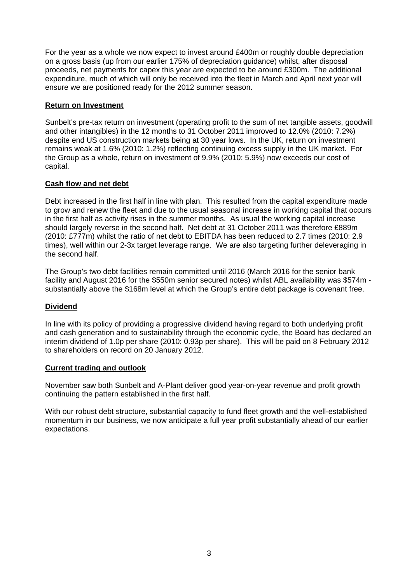For the year as a whole we now expect to invest around £400m or roughly double depreciation on a gross basis (up from our earlier 175% of depreciation guidance) whilst, after disposal proceeds, net payments for capex this year are expected to be around £300m. The additional expenditure, much of which will only be received into the fleet in March and April next year will ensure we are positioned ready for the 2012 summer season.

## **Return on Investment**

Sunbelt's pre-tax return on investment (operating profit to the sum of net tangible assets, goodwill and other intangibles) in the 12 months to 31 October 2011 improved to 12.0% (2010: 7.2%) despite end US construction markets being at 30 year lows. In the UK, return on investment remains weak at 1.6% (2010: 1.2%) reflecting continuing excess supply in the UK market. For the Group as a whole, return on investment of 9.9% (2010: 5.9%) now exceeds our cost of capital.

## **Cash flow and net debt**

Debt increased in the first half in line with plan. This resulted from the capital expenditure made to grow and renew the fleet and due to the usual seasonal increase in working capital that occurs in the first half as activity rises in the summer months. As usual the working capital increase should largely reverse in the second half. Net debt at 31 October 2011 was therefore £889m (2010: £777m) whilst the ratio of net debt to EBITDA has been reduced to 2.7 times (2010: 2.9 times), well within our 2-3x target leverage range. We are also targeting further deleveraging in the second half.

The Group's two debt facilities remain committed until 2016 (March 2016 for the senior bank facility and August 2016 for the \$550m senior secured notes) whilst ABL availability was \$574m substantially above the \$168m level at which the Group's entire debt package is covenant free.

# **Dividend**

In line with its policy of providing a progressive dividend having regard to both underlying profit and cash generation and to sustainability through the economic cycle, the Board has declared an interim dividend of 1.0p per share (2010: 0.93p per share). This will be paid on 8 February 2012 to shareholders on record on 20 January 2012.

### **Current trading and outlook**

November saw both Sunbelt and A-Plant deliver good year-on-year revenue and profit growth continuing the pattern established in the first half.

With our robust debt structure, substantial capacity to fund fleet growth and the well-established momentum in our business, we now anticipate a full year profit substantially ahead of our earlier expectations.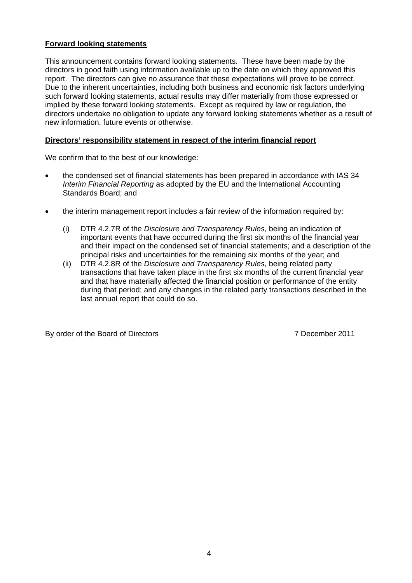### **Forward looking statements**

This announcement contains forward looking statements. These have been made by the directors in good faith using information available up to the date on which they approved this report. The directors can give no assurance that these expectations will prove to be correct. Due to the inherent uncertainties, including both business and economic risk factors underlying such forward looking statements, actual results may differ materially from those expressed or implied by these forward looking statements. Except as required by law or regulation, the directors undertake no obligation to update any forward looking statements whether as a result of new information, future events or otherwise.

### **Directors' responsibility statement in respect of the interim financial report**

We confirm that to the best of our knowledge:

- the condensed set of financial statements has been prepared in accordance with IAS 34 *Interim Financial Reporting* as adopted by the EU and the International Accounting Standards Board; and
- the interim management report includes a fair review of the information required by:
	- (i) DTR 4.2.7R of the *Disclosure and Transparency Rules,* being an indication of important events that have occurred during the first six months of the financial year and their impact on the condensed set of financial statements; and a description of the principal risks and uncertainties for the remaining six months of the year; and
	- (ii) DTR 4.2.8R of the *Disclosure and Transparency Rules,* being related party transactions that have taken place in the first six months of the current financial year and that have materially affected the financial position or performance of the entity during that period; and any changes in the related party transactions described in the last annual report that could do so.

By order of the Board of Directors **7** December 2011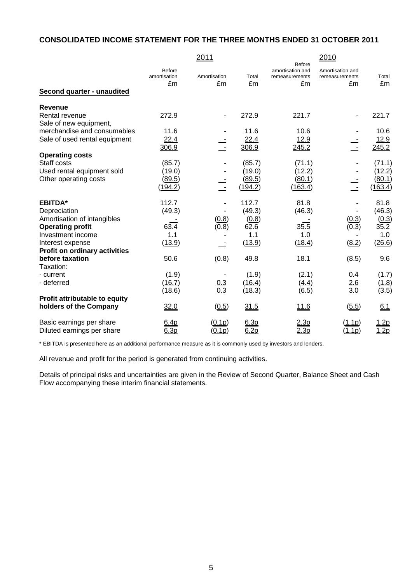# **CONSOLIDATED INCOME STATEMENT FOR THE THREE MONTHS ENDED 31 OCTOBER 2011**

|                              | 2011                                                                                                                                  |                                                                 |                                                                                                                                        | 2010                                                                                                                                          |                                                                                     |
|------------------------------|---------------------------------------------------------------------------------------------------------------------------------------|-----------------------------------------------------------------|----------------------------------------------------------------------------------------------------------------------------------------|-----------------------------------------------------------------------------------------------------------------------------------------------|-------------------------------------------------------------------------------------|
| Before<br>amortisation<br>£m | Amortisation<br>£m                                                                                                                    | Total<br>£m                                                     | amortisation and<br>remeasurements<br>£m                                                                                               | Amortisation and<br>remeasurements<br>£m                                                                                                      | Total<br>£m                                                                         |
|                              |                                                                                                                                       |                                                                 |                                                                                                                                        |                                                                                                                                               |                                                                                     |
|                              |                                                                                                                                       |                                                                 |                                                                                                                                        |                                                                                                                                               |                                                                                     |
|                              | $\blacksquare$                                                                                                                        |                                                                 |                                                                                                                                        | $\blacksquare$                                                                                                                                | 221.7                                                                               |
|                              |                                                                                                                                       |                                                                 |                                                                                                                                        |                                                                                                                                               |                                                                                     |
|                              |                                                                                                                                       |                                                                 |                                                                                                                                        |                                                                                                                                               | 10.6                                                                                |
|                              |                                                                                                                                       |                                                                 |                                                                                                                                        |                                                                                                                                               | <u>12.9</u>                                                                         |
|                              |                                                                                                                                       |                                                                 |                                                                                                                                        |                                                                                                                                               | 245.2                                                                               |
|                              |                                                                                                                                       |                                                                 |                                                                                                                                        |                                                                                                                                               |                                                                                     |
|                              |                                                                                                                                       |                                                                 |                                                                                                                                        |                                                                                                                                               | (71.1)                                                                              |
|                              |                                                                                                                                       |                                                                 |                                                                                                                                        |                                                                                                                                               | (12.2)<br>(80.1)                                                                    |
|                              |                                                                                                                                       |                                                                 |                                                                                                                                        |                                                                                                                                               | (163.4)                                                                             |
|                              |                                                                                                                                       |                                                                 |                                                                                                                                        |                                                                                                                                               |                                                                                     |
| 112.7                        |                                                                                                                                       | 112.7                                                           | 81.8                                                                                                                                   |                                                                                                                                               | 81.8                                                                                |
|                              |                                                                                                                                       | (49.3)                                                          |                                                                                                                                        |                                                                                                                                               | (46.3)                                                                              |
|                              |                                                                                                                                       |                                                                 |                                                                                                                                        |                                                                                                                                               | (0.3)                                                                               |
| 63.4                         | (0.8)                                                                                                                                 | 62.6                                                            | 35.5                                                                                                                                   | (0.3)                                                                                                                                         | 35.2                                                                                |
| 1.1                          |                                                                                                                                       | 1.1                                                             | 1.0                                                                                                                                    |                                                                                                                                               | 1.0                                                                                 |
| (13.9)                       |                                                                                                                                       | (13.9)                                                          | (18.4)                                                                                                                                 | (8.2)                                                                                                                                         | (26.6)                                                                              |
|                              |                                                                                                                                       |                                                                 |                                                                                                                                        |                                                                                                                                               |                                                                                     |
|                              |                                                                                                                                       |                                                                 |                                                                                                                                        |                                                                                                                                               | 9.6                                                                                 |
|                              |                                                                                                                                       |                                                                 |                                                                                                                                        |                                                                                                                                               |                                                                                     |
|                              |                                                                                                                                       |                                                                 |                                                                                                                                        |                                                                                                                                               | (1.7)                                                                               |
|                              |                                                                                                                                       |                                                                 |                                                                                                                                        |                                                                                                                                               | (1.8)                                                                               |
|                              |                                                                                                                                       |                                                                 |                                                                                                                                        |                                                                                                                                               | (3.5)                                                                               |
|                              |                                                                                                                                       |                                                                 |                                                                                                                                        |                                                                                                                                               |                                                                                     |
|                              |                                                                                                                                       |                                                                 |                                                                                                                                        |                                                                                                                                               | 6.1                                                                                 |
| 6.4p                         | (0.1p)                                                                                                                                | 6.3p                                                            | 2.3p                                                                                                                                   | (1.1p)                                                                                                                                        | <u> 1.2p</u>                                                                        |
| 6.3p                         | (0.1p)                                                                                                                                | 6.2p                                                            | 2.3p                                                                                                                                   | (1.1p)                                                                                                                                        | 1.2p                                                                                |
|                              | 272.9<br>11.6<br>22.4<br>306.9<br>(85.7)<br>(19.0)<br><u>(89.5)</u><br>(194.2)<br>(49.3)<br>50.6<br>(1.9)<br>(16.7)<br>(18.6)<br>32.0 | τ<br>$\sim$ $-$<br>(0.8)<br>(0.8)<br>$\frac{0.3}{0.3}$<br>(0.5) | 272.9<br>11.6<br>22.4<br>306.9<br>(85.7)<br>(19.0)<br>(89.5)<br>( <u>194.2</u> )<br>(0.8)<br>49.8<br>(1.9)<br>(16.4)<br>(18.3)<br>31.5 | Before<br>221.7<br>10.6<br>12.9<br>245.2<br>(71.1)<br>(12.2)<br>(80.1)<br>(163.4)<br>(46.3)<br>18.1<br>(2.1)<br>(4.4)<br>(6.5)<br><u>11.6</u> | τ<br>$\sim$ $-$<br>(0.3)<br>(8.5)<br>0.4<br><u>2.6</u><br>$\overline{3.0}$<br>(5.5) |

\* EBITDA is presented here as an additional performance measure as it is commonly used by investors and lenders.

All revenue and profit for the period is generated from continuing activities.

Details of principal risks and uncertainties are given in the Review of Second Quarter, Balance Sheet and Cash Flow accompanying these interim financial statements.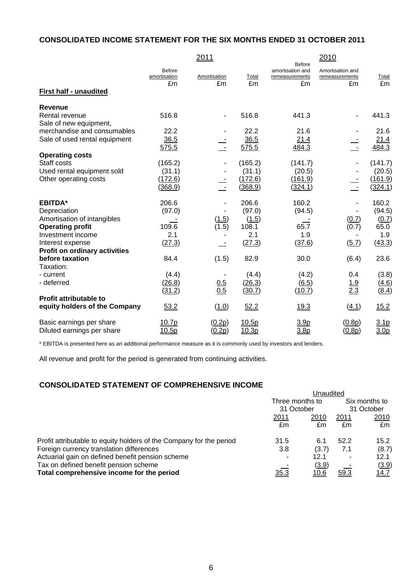# **CONSOLIDATED INCOME STATEMENT FOR THE SIX MONTHS ENDED 31 OCTOBER 2011**

|                                      |                                     | 2011               |                  | <b>Before</b>                            | 2010                                     |                  |
|--------------------------------------|-------------------------------------|--------------------|------------------|------------------------------------------|------------------------------------------|------------------|
| <b>First half - unaudited</b>        | <b>Before</b><br>amortisation<br>£m | Amortisation<br>£m | Total<br>£m      | amortisation and<br>remeasurements<br>£m | Amortisation and<br>remeasurements<br>£m | Total<br>Em      |
|                                      |                                     |                    |                  |                                          |                                          |                  |
| Revenue                              |                                     |                    |                  |                                          |                                          |                  |
| Rental revenue                       | 516.8                               | ٠                  | 516.8            | 441.3                                    | $\blacksquare$                           | 441.3            |
| Sale of new equipment,               |                                     |                    |                  |                                          |                                          |                  |
| merchandise and consumables          | 22.2                                |                    | 22.2             | 21.6                                     |                                          | 21.6             |
| Sale of used rental equipment        | 36.5<br>575.5                       | t                  | 36.5<br>575.5    | 21.4<br>484.3                            |                                          | 21.4<br>484.3    |
| <b>Operating costs</b>               |                                     |                    |                  |                                          |                                          |                  |
| Staff costs                          | (165.2)                             |                    | (165.2)          | (141.7)                                  |                                          | (141.7)          |
| Used rental equipment sold           | (31.1)                              |                    | (31.1)           | (20.5)                                   |                                          | (20.5)           |
| Other operating costs                | (172.6)                             |                    | (172.6)          | (161.9)                                  |                                          | (161.9)          |
|                                      | (368.9)                             | $\mathbf{r}$       | (368.9)          | (324.1)                                  | $\overline{\phantom{a}}$                 | (324.1)          |
| <b>EBITDA*</b>                       | 206.6                               |                    | 206.6            | 160.2                                    | $\blacksquare$                           | 160.2            |
| Depreciation                         | (97.0)                              |                    | (97.0)           | (94.5)                                   |                                          | (94.5)           |
| Amortisation of intangibles          |                                     | (1.5)              | (1.5)            |                                          | (0.7)                                    | (0.7)            |
| <b>Operating profit</b>              | 109.6                               | (1.5)              | 108.1            | 65.7                                     | (0.7)                                    | 65.0             |
| Investment income                    | 2.1                                 |                    | 2.1              | 1.9                                      |                                          | 1.9              |
| Interest expense                     | (27.3)                              |                    | (27.3)           | (37.6)                                   | (5.7)                                    | (43.3)           |
| <b>Profit on ordinary activities</b> |                                     |                    |                  |                                          |                                          |                  |
| before taxation                      | 84.4                                | (1.5)              | 82.9             | 30.0                                     | (6.4)                                    | 23.6             |
| Taxation:                            |                                     |                    |                  |                                          |                                          |                  |
| - current                            | (4.4)                               |                    | (4.4)            | (4.2)                                    | 0.4                                      | (3.8)            |
| - deferred                           | (26.8)<br>(31.2)                    | $\frac{0.5}{0.5}$  | (26.3)<br>(30.7) | (6.5)<br>(10.7)                          | $\frac{1.9}{2.3}$                        | (4.6)<br>(8.4)   |
| <b>Profit attributable to</b>        |                                     |                    |                  |                                          |                                          |                  |
| equity holders of the Company        | 53.2                                | (1.0)              | 52.2             | 19.3                                     | (4.1)                                    | 15.2             |
| Basic earnings per share             | 10.7p                               | (0.2p)             | 10.5p            | 3.9 <sub>p</sub>                         | (0.8p)                                   | 3.1 <sub>p</sub> |
| Diluted earnings per share           | 10.5p                               | (0.2p)             | 10.3p            | 3.8 <sub>p</sub>                         | (0.8p)                                   | 3.0 <sub>p</sub> |

\* EBITDA is presented here as an additional performance measure as it is commonly used by investors and lenders.

All revenue and profit for the period is generated from continuing activities.

# **CONSOLIDATED STATEMENT OF COMPREHENSIVE INCOME**

|                                                                     | Unaudited       |              |      |               |  |
|---------------------------------------------------------------------|-----------------|--------------|------|---------------|--|
|                                                                     | Three months to |              |      | Six months to |  |
|                                                                     | 31 October      |              |      | 31 October    |  |
|                                                                     | 2011            | 2010         | 2011 | <u>2010</u>   |  |
|                                                                     | £m              | £m           | £m   | £m            |  |
| Profit attributable to equity holders of the Company for the period | 31.5            | 6.1          | 52.2 | 15.2          |  |
| Foreign currency translation differences                            | 3.8             | (3.7)        | 7.1  | (8.7)         |  |
| Actuarial gain on defined benefit pension scheme                    | ۰               | 12.1         |      | 12.1          |  |
| Tax on defined benefit pension scheme                               |                 | <u>(3.9)</u> |      | (3.9)         |  |
| Total comprehensive income for the period                           | <u>35.3</u>     | <u> 10.6</u> | 59.3 | <u>14.7</u>   |  |
|                                                                     |                 |              |      |               |  |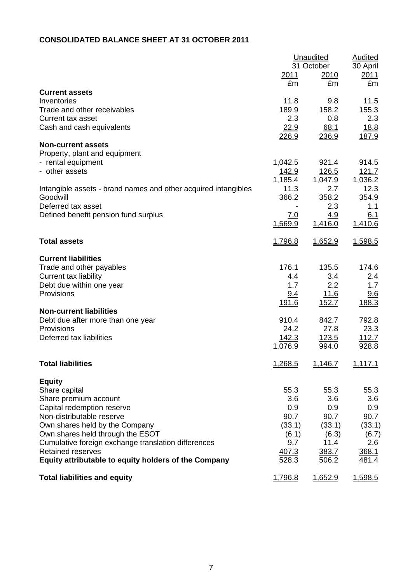# **CONSOLIDATED BALANCE SHEET AT 31 OCTOBER 2011**

|                                                                            |               | <b>Unaudited</b><br>31 October |                  |
|----------------------------------------------------------------------------|---------------|--------------------------------|------------------|
|                                                                            | <u>2011</u>   | 2010                           | 30 April<br>2011 |
|                                                                            | £m            | £m                             | £m               |
| <b>Current assets</b>                                                      |               |                                |                  |
| Inventories                                                                | 11.8          | 9.8                            | 11.5             |
| Trade and other receivables<br><b>Current tax asset</b>                    | 189.9<br>2.3  | 158.2                          | 155.3<br>2.3     |
| Cash and cash equivalents                                                  | 22.9          | 0.8<br>68.1                    | <u>18.8</u>      |
|                                                                            | 226.9         | 236.9                          | 187.9            |
| <b>Non-current assets</b>                                                  |               |                                |                  |
| Property, plant and equipment                                              |               |                                |                  |
| - rental equipment                                                         | 1,042.5       | 921.4                          | 914.5            |
| - other assets                                                             | <u> 142.9</u> | <u>126.5</u>                   | 121.7            |
|                                                                            | 1,185.4       | 1,047.9                        | 1,036.2          |
| Intangible assets - brand names and other acquired intangibles<br>Goodwill | 11.3          | 2.7                            | 12.3             |
| Deferred tax asset                                                         | 366.2         | 358.2<br>2.3                   | 354.9<br>1.1     |
| Defined benefit pension fund surplus                                       | 7.0           | <u>4.9</u>                     | 6.1              |
|                                                                            | 1,569.9       | 1,416.0                        | 1,410.6          |
|                                                                            |               |                                |                  |
| <b>Total assets</b>                                                        | 1,796.8       | 1,652.9                        | 1,598.5          |
| <b>Current liabilities</b>                                                 |               |                                |                  |
| Trade and other payables                                                   | 176.1         | 135.5                          | 174.6            |
| <b>Current tax liability</b>                                               | 4.4           | 3.4                            | 2.4              |
| Debt due within one year                                                   | 1.7           | 2.2                            | 1.7              |
| Provisions                                                                 | 9.4           | <u> 11.6</u>                   | 9.6              |
|                                                                            | 191.6         | 152.7                          | 188.3            |
| <b>Non-current liabilities</b>                                             | 910.4         | 842.7                          | 792.8            |
| Debt due after more than one year<br>Provisions                            | 24.2          | 27.8                           | 23.3             |
| Deferred tax liabilities                                                   | <u>142.3</u>  | <u>123.5</u>                   | 112.7            |
|                                                                            | 1,076.9       | 994.0                          | 928.8            |
|                                                                            |               |                                |                  |
| <b>Total liabilities</b>                                                   | 1,268.5       | 1,146.7                        | 1,117.1          |
| <b>Equity</b>                                                              |               |                                |                  |
| Share capital                                                              | 55.3          | 55.3                           | 55.3             |
| Share premium account                                                      | 3.6           | 3.6                            | 3.6              |
| Capital redemption reserve                                                 | 0.9           | 0.9                            | 0.9              |
| Non-distributable reserve                                                  | 90.7          | 90.7                           | 90.7             |
| Own shares held by the Company<br>Own shares held through the ESOT         | (33.1)        | (33.1)                         | (33.1)           |
| Cumulative foreign exchange translation differences                        | (6.1)<br>9.7  | (6.3)<br>11.4                  | (6.7)<br>2.6     |
| <b>Retained reserves</b>                                                   | 407.3         | 383.7                          | 368.1            |
| Equity attributable to equity holders of the Company                       | 528.3         | 506.2                          | 481.4            |
| <b>Total liabilities and equity</b>                                        | 1,796.8       | 1,652.9                        | 1,598.5          |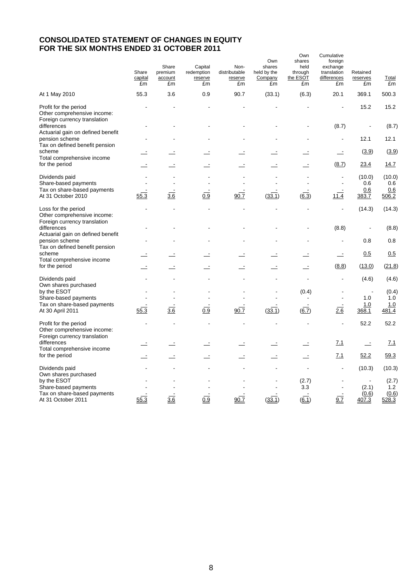## **CONSOLIDATED STATEMENT OF CHANGES IN EQUITY FOR THE SIX MONTHS ENDED 31 OCTOBER 2011**

|                                                                                             | Share<br>capital<br>£m | Share<br>premium<br>account<br>£m | Capital<br>redemption<br>reserve<br>£m | Non-<br>distributable<br>reserve<br>£m | Own<br>shares<br>held by the<br>Company<br>£m | Own<br>shares<br>held<br>through<br>the ESOT<br>£m | Cumulative<br>foreign<br>exchange<br>translation<br>differences<br>£m | Retained<br>reserves<br>£m    | Total<br>£m                    |
|---------------------------------------------------------------------------------------------|------------------------|-----------------------------------|----------------------------------------|----------------------------------------|-----------------------------------------------|----------------------------------------------------|-----------------------------------------------------------------------|-------------------------------|--------------------------------|
| At 1 May 2010                                                                               | 55.3                   | 3.6                               | 0.9                                    | 90.7                                   | (33.1)                                        | (6.3)                                              | 20.1                                                                  | 369.1                         | 500.3                          |
| Profit for the period<br>Other comprehensive income:<br>Foreign currency translation        |                        |                                   |                                        |                                        |                                               |                                                    |                                                                       | 15.2                          | 15.2                           |
| differences<br>Actuarial gain on defined benefit                                            |                        |                                   |                                        |                                        |                                               |                                                    | (8.7)                                                                 |                               | (8.7)                          |
| pension scheme<br>Tax on defined benefit pension                                            |                        |                                   |                                        |                                        |                                               |                                                    | $\blacksquare$                                                        | 12.1                          | 12.1                           |
| scheme<br>Total comprehensive income                                                        |                        |                                   |                                        |                                        |                                               |                                                    | $\overline{\phantom{a}}$                                              | (3.9)                         | (3.9)                          |
| for the period                                                                              |                        |                                   |                                        |                                        |                                               |                                                    | (8.7)                                                                 | 23.4                          | 14.7                           |
| Dividends paid<br>Share-based payments<br>Tax on share-based payments<br>At 31 October 2010 | 55.3                   | 3.6                               | 0.9                                    | 90.7                                   | (33.1)                                        | (6.3)                                              | 11.4                                                                  | (10.0)<br>0.6<br>0.6<br>383.7 | (10.0)<br>0.6<br>0.6<br>506.2  |
| Loss for the period<br>Other comprehensive income:<br>Foreign currency translation          |                        |                                   |                                        |                                        |                                               | L,                                                 | $\blacksquare$                                                        | (14.3)                        | (14.3)                         |
| differences<br>Actuarial gain on defined benefit                                            |                        |                                   |                                        |                                        |                                               |                                                    | (8.8)                                                                 |                               | (8.8)                          |
| pension scheme<br>Tax on defined benefit pension<br>scheme                                  |                        |                                   |                                        |                                        |                                               |                                                    |                                                                       | 0.8<br>0.5                    | 0.8<br>0.5                     |
| Total comprehensive income<br>for the period                                                |                        |                                   |                                        |                                        |                                               | $\equiv$                                           | (8.8)                                                                 | (13.0)                        | (21.8)                         |
|                                                                                             |                        |                                   |                                        |                                        |                                               |                                                    |                                                                       |                               |                                |
| Dividends paid<br>Own shares purchased                                                      |                        |                                   |                                        |                                        |                                               | $\overline{a}$                                     | $\blacksquare$                                                        | (4.6)                         | (4.6)                          |
| by the ESOT<br>Share-based payments                                                         |                        |                                   |                                        |                                        |                                               | (0.4)                                              | $\blacksquare$                                                        | ÷,<br>1.0                     | (0.4)<br>1.0                   |
| Tax on share-based payments<br>At 30 April 2011                                             | 55.3                   | 3.6                               | 0.9                                    | 90.7                                   | (33.1)                                        | 6.7)                                               | 2.6                                                                   | 1.0<br>368.1                  | 1.0<br>481.4                   |
| Profit for the period<br>Other comprehensive income:<br>Foreign currency translation        |                        |                                   |                                        |                                        |                                               |                                                    |                                                                       | 52.2                          | 52.2                           |
| differences<br>Total comprehensive income                                                   |                        |                                   |                                        |                                        |                                               | $\equiv$                                           | 7.1                                                                   | $\equiv$                      | Z.1                            |
| for the period                                                                              |                        |                                   |                                        |                                        |                                               | $\overline{\phantom{a}}$                           | <u>7.1</u>                                                            | 52.2                          | 59.3                           |
| Dividends paid<br>Own shares purchased                                                      |                        |                                   |                                        |                                        |                                               | $\blacksquare$                                     |                                                                       | (10.3)                        | (10.3)                         |
| by the ESOT<br>Share-based payments<br>Tax on share-based payments<br>At 31 October 2011    | 55.3                   | 3.6                               | 0.9                                    | 90.7                                   | (33.1)                                        | (2.7)<br>3.3<br>(6.1)                              | 9.7                                                                   | (2.1)<br>(0.6)<br>407.3       | (2.7)<br>1.2<br>(0.6)<br>528.3 |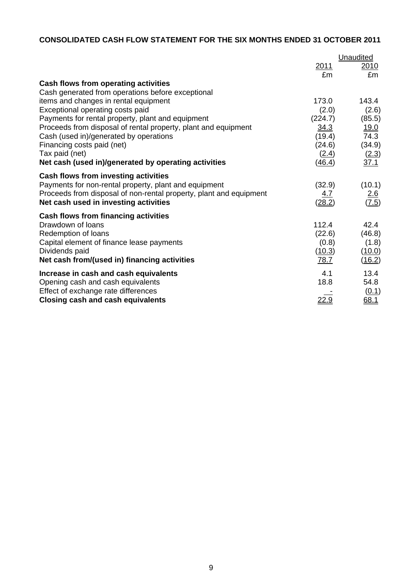# **CONSOLIDATED CASH FLOW STATEMENT FOR THE SIX MONTHS ENDED 31 OCTOBER 2011**

|                                                                    | Unaudited    |              |  |
|--------------------------------------------------------------------|--------------|--------------|--|
|                                                                    | 2011         | 2010         |  |
|                                                                    | £m           | £m           |  |
| Cash flows from operating activities                               |              |              |  |
| Cash generated from operations before exceptional                  |              |              |  |
| items and changes in rental equipment                              | 173.0        | 143.4        |  |
| Exceptional operating costs paid                                   | (2.0)        | (2.6)        |  |
| Payments for rental property, plant and equipment                  | (224.7)      | (85.5)       |  |
| Proceeds from disposal of rental property, plant and equipment     | <u>34.3</u>  | <u>19.0</u>  |  |
| Cash (used in)/generated by operations                             | (19.4)       | 74.3         |  |
| Financing costs paid (net)                                         | (24.6)       | (34.9)       |  |
| Tax paid (net)                                                     | (2.4)        | <u>(2.3)</u> |  |
| Net cash (used in)/generated by operating activities               | (46.4)       | 37.1         |  |
| Cash flows from investing activities                               |              |              |  |
| Payments for non-rental property, plant and equipment              | (32.9)       | (10.1)       |  |
| Proceeds from disposal of non-rental property, plant and equipment | 4.7          | <u>2.6</u>   |  |
| Net cash used in investing activities                              | (28.2)       | (7.5)        |  |
| Cash flows from financing activities                               |              |              |  |
| Drawdown of Ioans                                                  | 112.4        | 42.4         |  |
| Redemption of loans                                                | (22.6)       | (46.8)       |  |
| Capital element of finance lease payments                          | (0.8)        | (1.8)        |  |
| Dividends paid                                                     | (10.3)       | (10.0)       |  |
| Net cash from/(used in) financing activities                       | 78.7         | (16.2)       |  |
| Increase in cash and cash equivalents                              | 4.1          | 13.4         |  |
| Opening cash and cash equivalents                                  | 18.8         | 54.8         |  |
| Effect of exchange rate differences                                |              | (0.1)        |  |
| <b>Closing cash and cash equivalents</b>                           | <u> 22.9</u> | 68.1         |  |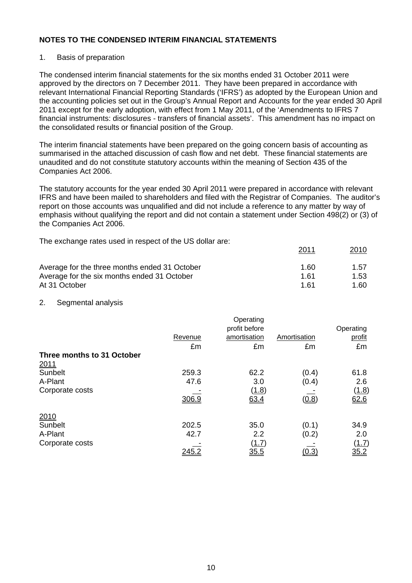### 1. Basis of preparation

The condensed interim financial statements for the six months ended 31 October 2011 were approved by the directors on 7 December 2011. They have been prepared in accordance with relevant International Financial Reporting Standards ('IFRS') as adopted by the European Union and the accounting policies set out in the Group's Annual Report and Accounts for the year ended 30 April 2011 except for the early adoption, with effect from 1 May 2011, of the 'Amendments to IFRS 7 financial instruments: disclosures - transfers of financial assets'. This amendment has no impact on the consolidated results or financial position of the Group.

The interim financial statements have been prepared on the going concern basis of accounting as summarised in the attached discussion of cash flow and net debt. These financial statements are unaudited and do not constitute statutory accounts within the meaning of Section 435 of the Companies Act 2006.

The statutory accounts for the year ended 30 April 2011 were prepared in accordance with relevant IFRS and have been mailed to shareholders and filed with the Registrar of Companies. The auditor's report on those accounts was unqualified and did not include a reference to any matter by way of emphasis without qualifying the report and did not contain a statement under Section 498(2) or (3) of the Companies Act 2006.

The exchange rates used in respect of the US dollar are:

|                                               | 2011 | <u> 2010</u> |
|-----------------------------------------------|------|--------------|
| Average for the three months ended 31 October | 1.60 | 1.57         |
| Average for the six months ended 31 October   | 1.61 | 1.53         |
| At 31 October                                 | 1 61 | 1.60         |

### 2. Segmental analysis

|                            |              | Operating      |              |              |
|----------------------------|--------------|----------------|--------------|--------------|
|                            |              | profit before  |              | Operating    |
|                            | Revenue      | amortisation   | Amortisation | profit       |
|                            | £m           | £m             | £m           | £m           |
| Three months to 31 October |              |                |              |              |
| 2011                       |              |                |              |              |
| Sunbelt                    | 259.3        | 62.2           | (0.4)        | 61.8         |
| A-Plant                    | 47.6         | 3.0            | (0.4)        | 2.6          |
| Corporate costs            |              | (1.8)          |              | <u>(1.8)</u> |
|                            | 306.9        | 63.4           | (0.8)        | 62.6         |
| 2010                       |              |                |              |              |
| Sunbelt                    | 202.5        | 35.0           | (0.1)        | 34.9         |
| A-Plant                    | 42.7         | 2.2            | (0.2)        | 2.0          |
| Corporate costs            |              | ( <u>1.7</u> ) |              | <u>(1.7)</u> |
|                            | <u> 245.</u> | <u>35.5</u>    | <u>(0.3)</u> | 35.2         |
|                            |              |                |              |              |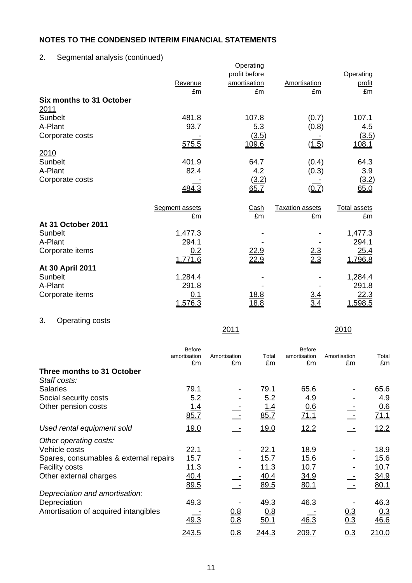2. Segmental analysis (continued)

|                                 |                | Operating<br>profit before |                        | Operating           |
|---------------------------------|----------------|----------------------------|------------------------|---------------------|
|                                 | Revenue        | amortisation               | Amortisation           | profit              |
|                                 | £m             | £m                         | £m                     | £m                  |
| <b>Six months to 31 October</b> |                |                            |                        |                     |
| <u> 2011</u>                    |                |                            |                        |                     |
| Sunbelt                         | 481.8          | 107.8                      | (0.7)                  | 107.1               |
| A-Plant                         | 93.7           | 5.3                        | (0.8)                  | 4.5                 |
| Corporate costs                 |                | (3.5)                      |                        | (3.5)               |
|                                 | 575.5          | 109.6                      | (1.5)                  | 108.1               |
| 2010                            |                |                            |                        |                     |
| Sunbelt                         | 401.9          | 64.7                       | (0.4)                  | 64.3                |
| A-Plant                         | 82.4           | 4.2                        | (0.3)                  | 3.9                 |
| Corporate costs                 |                | (3.2)                      |                        | (3.2)               |
|                                 | 484.3          | 65.7                       | (0.7)                  | 65.0                |
|                                 | Segment assets | Cash                       | <b>Taxation assets</b> | <b>Total assets</b> |
|                                 | £m             | £m                         | £m                     | £m                  |
| At 31 October 2011              |                |                            |                        |                     |
| Sunbelt                         | 1,477.3        |                            |                        | 1,477.3             |
| A-Plant                         | 294.1          |                            |                        | 294.1               |
| Corporate items                 | 0.2            | <u>22.9</u>                |                        | 25.4                |
|                                 | 1,771.6        | 22.9                       | $\frac{2.3}{2.3}$      | 1,796.8             |
| At 30 April 2011                |                |                            |                        |                     |
| Sunbelt                         | 1,284.4        |                            |                        | 1,284.4             |
| A-Plant                         | 291.8          |                            |                        | 291.8               |
| Corporate items                 | 0.1            | <u>18.8</u>                | <u>3.4</u>             | 22.3                |
|                                 | 1,576.3        | <u>18.8</u>                |                        | 1,598.5             |

# 3. Operating costs

|                                        | <b>Before</b><br>amortisation<br>£m | Amortisation<br>£m | Total<br>£m | <b>Before</b><br>amortisation<br>£m | Amortisation<br>£m | <b>Total</b><br>£m |
|----------------------------------------|-------------------------------------|--------------------|-------------|-------------------------------------|--------------------|--------------------|
| Three months to 31 October             |                                     |                    |             |                                     |                    |                    |
| Staff costs:                           |                                     |                    |             |                                     |                    |                    |
| <b>Salaries</b>                        | 79.1                                |                    | 79.1        | 65.6                                |                    | 65.6               |
| Social security costs                  | 5.2                                 |                    | 5.2         | 4.9                                 |                    | 4.9                |
| Other pension costs                    | <u>1.4</u>                          |                    | <u>1.4</u>  | 0.6                                 |                    | 0.6                |
|                                        | 85.7                                |                    | 85.7        | 71.1                                |                    | 71.1               |
| Used rental equipment sold             | <u>19.0</u>                         |                    | 19.0        | 12.2                                |                    | 12.2               |
| Other operating costs:                 |                                     |                    |             |                                     |                    |                    |
| Vehicle costs                          | 22.1                                |                    | 22.1        | 18.9                                |                    | 18.9               |
| Spares, consumables & external repairs | 15.7                                |                    | 15.7        | 15.6                                |                    | 15.6               |
| <b>Facility costs</b>                  | 11.3                                |                    | 11.3        | 10.7                                |                    | 10.7               |
| Other external charges                 | 40.4                                |                    | 40.4        | <u>34.9</u>                         |                    | 34.9               |
|                                        | 89.5                                |                    | 89.5        | 80.1                                |                    | 80.1               |
| Depreciation and amortisation:         |                                     |                    |             |                                     |                    |                    |
| Depreciation                           | 49.3                                |                    | 49.3        | 46.3                                |                    | 46.3               |
| Amortisation of acquired intangibles   |                                     | 0.8                | 0.8         |                                     | 0.3                | 0.3                |
|                                        | 49.3                                | 0.8                | 50.1        | 46.3                                | 0.3                | 46.6               |
|                                        | 243.5                               | 0.8                | 244.3       | 209.7                               | 0.3                | 210.0              |

2011 2010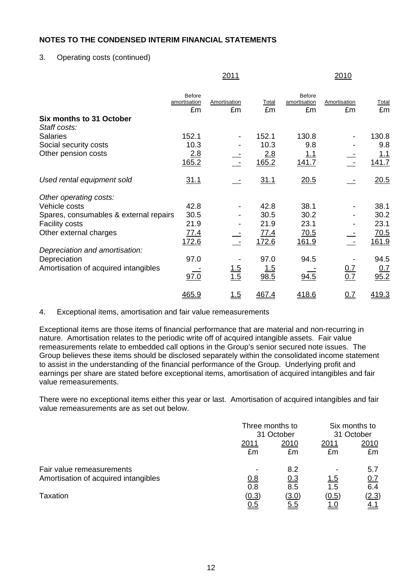## 3. Operating costs (continued)

|                                          |                                     | <u>2011</u>        |             |                              | 2010               |             |
|------------------------------------------|-------------------------------------|--------------------|-------------|------------------------------|--------------------|-------------|
|                                          | <b>Before</b><br>amortisation<br>£m | Amortisation<br>£m | Total<br>£m | Before<br>amortisation<br>£m | Amortisation<br>£m | Total<br>£m |
| Six months to 31 October<br>Staff costs: |                                     |                    |             |                              |                    |             |
| <b>Salaries</b>                          | 152.1                               |                    | 152.1       | 130.8                        |                    | 130.8       |
| Social security costs                    | 10.3                                |                    | 10.3        | 9.8                          |                    | 9.8         |
| Other pension costs                      | 2.8                                 |                    | 2.8         | <u> 1.1</u>                  |                    | <u>1.1</u>  |
|                                          | 165.2                               |                    | 165.2       | 141.7                        |                    | 141.7       |
| Used rental equipment sold               | 31.1                                |                    | 31.1        | 20.5                         |                    | 20.5        |
| Other operating costs:                   |                                     |                    |             |                              |                    |             |
| Vehicle costs                            | 42.8                                |                    | 42.8        | 38.1                         |                    | 38.1        |
| Spares, consumables & external repairs   | 30.5                                |                    | 30.5        | 30.2                         |                    | 30.2        |
| <b>Facility costs</b>                    | 21.9                                |                    | 21.9        | 23.1                         |                    | 23.1        |
| Other external charges                   | 77.4                                |                    | 77.4        | <u>70.5</u>                  |                    | <u>70.5</u> |
|                                          | 172.6                               |                    | 172.6       | 161.9                        |                    | 161.9       |
| Depreciation and amortisation:           |                                     |                    |             |                              |                    |             |
| Depreciation                             | 97.0                                |                    | 97.0        | 94.5                         |                    | 94.5        |
| Amortisation of acquired intangibles     |                                     | $\frac{1.5}{1.5}$  | <u> 1.5</u> |                              | $\frac{0.7}{0.7}$  | <u>0.7</u>  |
|                                          | 97.0                                |                    | 98.5        | 94.5                         |                    | 95.2        |
|                                          | 465.9                               | <u>1.5</u>         | 467.4       | 418.6                        | <u>0.7</u>         | 419.3       |

### 4. Exceptional items, amortisation and fair value remeasurements

Exceptional items are those items of financial performance that are material and non-recurring in nature. Amortisation relates to the periodic write off of acquired intangible assets. Fair value remeasurements relate to embedded call options in the Group's senior secured note issues. The Group believes these items should be disclosed separately within the consolidated income statement to assist in the understanding of the financial performance of the Group. Underlying profit and earnings per share are stated before exceptional items, amortisation of acquired intangibles and fair value remeasurements.

There were no exceptional items either this year or last. Amortisation of acquired intangibles and fair value remeasurements are as set out below.

|                                      | Three months to |            | Six months to |              |  |
|--------------------------------------|-----------------|------------|---------------|--------------|--|
|                                      |                 | 31 October |               | 31 October   |  |
|                                      | <u> 2011</u>    | 2010       | 2011          | 2010         |  |
|                                      | £m              | £m         | £m            | £m           |  |
| Fair value remeasurements            |                 | 8.2        |               | 5.7          |  |
| Amortisation of acquired intangibles | 0.8             | <u>0.3</u> | <u>1.5</u>    | 0.7          |  |
|                                      | 0.8             | 8.5        | 1.5           | 6.4          |  |
| Taxation                             | (0.3)           | (3.0)      | (0.5)         | <u>(2.3)</u> |  |
|                                      | <u>0.5</u>      | <u>5.5</u> | <u>1.U</u>    | <u>4.1</u>   |  |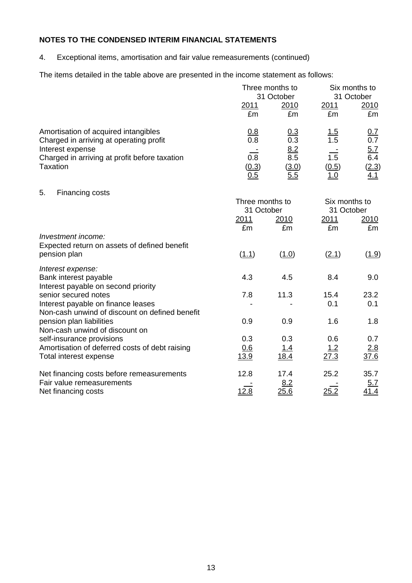4. Exceptional items, amortisation and fair value remeasurements (continued)

The items detailed in the table above are presented in the income statement as follows:

|                                                                                 |                               | Three months to<br>31 October | Six months to<br>31 October |                   |  |
|---------------------------------------------------------------------------------|-------------------------------|-------------------------------|-----------------------------|-------------------|--|
|                                                                                 | 2011<br>£m                    | 2010<br>£m                    | 2011<br>£m                  | 2010<br>£m        |  |
| Amortisation of acquired intangibles<br>Charged in arriving at operating profit | 0.8<br>0.8                    | 0.3<br>0.3                    | <u>1.5</u><br>1.5           | <u>0.7</u><br>0.7 |  |
| Interest expense                                                                |                               | $\frac{8.2}{8.5}$             |                             | $\frac{5.7}{6.4}$ |  |
| Charged in arriving at profit before taxation                                   | 0.8                           |                               | $\overline{1.5}$            |                   |  |
| <b>Taxation</b>                                                                 | (0.3)<br>0.5                  | (3.0)<br>5.5                  | (0.5)<br><u> 1.0</u>        | (2.3)<br>4.1      |  |
| 5.<br>Financing costs                                                           |                               |                               |                             |                   |  |
|                                                                                 | Three months to<br>31 October |                               | Six months to<br>31 October |                   |  |
|                                                                                 | 2011                          | <u>2010</u>                   | 2011                        | <u>2010</u>       |  |
|                                                                                 | £m                            | £m                            | £m                          | £m                |  |
| Investment income:<br>Expected return on assets of defined benefit              |                               |                               |                             |                   |  |
| pension plan                                                                    | (1.1)                         | (1.0)                         | (2.1)                       | (1.9)             |  |
| Interest expense:                                                               |                               |                               |                             |                   |  |
| Bank interest payable<br>Interest payable on second priority                    | 4.3                           | 4.5                           | 8.4                         | 9.0               |  |
| senior secured notes                                                            | 7.8                           | 11.3                          | 15.4                        | 23.2              |  |
| Interest payable on finance leases                                              |                               |                               | 0.1                         | 0.1               |  |
| Non-cash unwind of discount on defined benefit<br>pension plan liabilities      | 0.9                           | 0.9                           | 1.6                         | 1.8               |  |
| Non-cash unwind of discount on                                                  |                               |                               |                             |                   |  |
| self-insurance provisions                                                       | 0.3                           | 0.3                           | 0.6                         | 0.7               |  |
| Amortisation of deferred costs of debt raising                                  | 0.6<br>13.9                   | <u>1.4</u><br>18.4            | 1.2<br>27.3                 | 2.8<br>37.6       |  |
| Total interest expense                                                          |                               |                               |                             |                   |  |
| Net financing costs before remeasurements                                       | 12.8                          | 17.4                          | 25.2                        | 35.7              |  |
| Fair value remeasurements<br>Net financing costs                                | 12.8                          | 8.2<br>25.6                   | 25.2                        | 5.7<br>41.4       |  |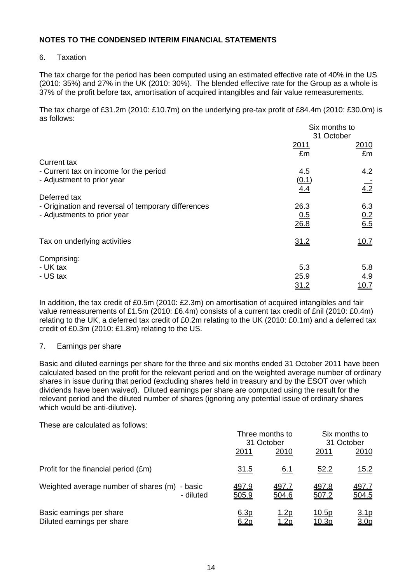### 6. Taxation

The tax charge for the period has been computed using an estimated effective rate of 40% in the US (2010: 35%) and 27% in the UK (2010: 30%). The blended effective rate for the Group as a whole is 37% of the profit before tax, amortisation of acquired intangibles and fair value remeasurements.

The tax charge of £31.2m (2010: £10.7m) on the underlying pre-tax profit of £84.4m (2010: £30.0m) is as follows:

|                                                     | Six months to |                   |
|-----------------------------------------------------|---------------|-------------------|
|                                                     | 31 October    |                   |
|                                                     | 2011          | 2010              |
|                                                     | £m            | £m                |
| <b>Current tax</b>                                  |               |                   |
| - Current tax on income for the period              | 4.5           | 4.2               |
| - Adjustment to prior year                          | (0.1)         |                   |
|                                                     | 4.4           | $\overline{4.2}$  |
| Deferred tax                                        |               |                   |
| - Origination and reversal of temporary differences | 26.3          | 6.3               |
| - Adjustments to prior year                         | 0.5           |                   |
|                                                     | 26.8          | $\frac{0.2}{6.5}$ |
|                                                     |               |                   |
| Tax on underlying activities                        | 31.2          | 10.7              |
|                                                     |               |                   |
| Comprising:                                         |               |                   |
| - UK tax                                            | 5.3           | 5.8               |
| - US tax                                            | 25.9          | 4.9               |
|                                                     | <u>31.2</u>   | <u> 10.7</u>      |
|                                                     |               |                   |

In addition, the tax credit of £0.5m (2010: £2.3m) on amortisation of acquired intangibles and fair value remeasurements of £1.5m (2010: £6.4m) consists of a current tax credit of £nil (2010: £0.4m) relating to the UK, a deferred tax credit of £0.2m relating to the UK (2010: £0.1m) and a deferred tax credit of £0.3m (2010: £1.8m) relating to the US.

### 7. Earnings per share

Basic and diluted earnings per share for the three and six months ended 31 October 2011 have been calculated based on the profit for the relevant period and on the weighted average number of ordinary shares in issue during that period (excluding shares held in treasury and by the ESOT over which dividends have been waived). Diluted earnings per share are computed using the result for the relevant period and the diluted number of shares (ignoring any potential issue of ordinary shares which would be anti-dilutive).

These are calculated as follows:

|                                                            | Three months to<br>31 October |                              | Six months to<br>31 October   |                                 |
|------------------------------------------------------------|-------------------------------|------------------------------|-------------------------------|---------------------------------|
|                                                            | 2011                          | 2010                         | 2011                          | 2010                            |
| Profit for the financial period (£m)                       | <u>31.5</u>                   | <u>6.1</u>                   | 52.2                          | 15.2                            |
| Weighted average number of shares (m) - basic<br>- diluted | <u>497.9</u><br>505.9         | <u>497.7</u><br>504.6        | 497.8<br>507.2                | <u>497.7</u><br>504.5           |
| Basic earnings per share<br>Diluted earnings per share     | 6.3p<br>6.2p                  | <u> 1.2p</u><br><u> 1.2p</u> | <u>10.5p</u><br><u> 10.3p</u> | <u>3.1p</u><br>3.0 <sub>p</sub> |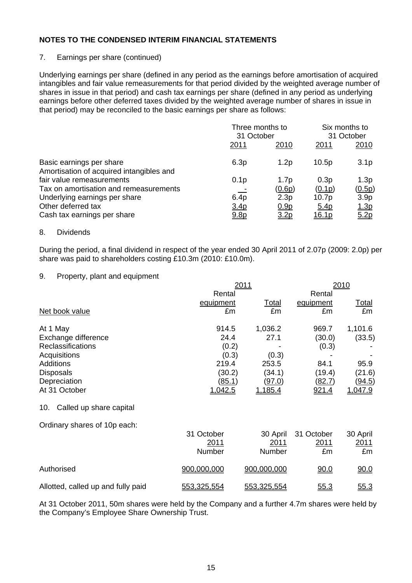## 7. Earnings per share (continued)

Underlying earnings per share (defined in any period as the earnings before amortisation of acquired intangibles and fair value remeasurements for that period divided by the weighted average number of shares in issue in that period) and cash tax earnings per share (defined in any period as underlying earnings before other deferred taxes divided by the weighted average number of shares in issue in that period) may be reconciled to the basic earnings per share as follows:

|                                                                      | Three months to<br>31 October |                  | Six months to<br>31 October |                  |
|----------------------------------------------------------------------|-------------------------------|------------------|-----------------------------|------------------|
|                                                                      | 2011                          | 2010             | 2011                        | <u>2010</u>      |
| Basic earnings per share<br>Amortisation of acquired intangibles and | 6.3p                          | 1.2p             | 10.5p                       | 3.1 <sub>p</sub> |
| fair value remeasurements                                            | 0.1 <sub>p</sub>              | 1.7 <sub>p</sub> | 0.3p                        | 1.3p             |
| Tax on amortisation and remeasurements                               |                               | (0.6p)           | (0.1p)                      | (0.5p)           |
| Underlying earnings per share                                        | 6.4p                          | 2.3p             | 10.7 <sub>p</sub>           | 3.9 <sub>p</sub> |
| Other deferred tax                                                   | 3.4 <sub>p</sub>              | 0.9 <sub>p</sub> | <u>5.4p</u>                 | <u>1.3p</u>      |
| Cash tax earnings per share                                          | 9.8p                          | <u>3.2p</u>      | <u>16.1p</u>                | 5.2p             |

#### 8. Dividends

During the period, a final dividend in respect of the year ended 30 April 2011 of 2.07p (2009: 2.0p) per share was paid to shareholders costing £10.3m (2010: £10.0m).

#### 9. Property, plant and equipment

|                                | 2011      | 2010         |               |                |
|--------------------------------|-----------|--------------|---------------|----------------|
|                                | Rental    |              | Rental        |                |
|                                | equipment | <b>Total</b> | equipment     | <u>Total</u>   |
| Net book value                 | £m        | £m           | £m            | £m             |
| At 1 May                       | 914.5     | 1,036.2      | 969.7         | 1,101.6        |
| Exchange difference            | 24.4      | 27.1         | (30.0)        | (33.5)         |
| Reclassifications              | (0.2)     |              | (0.3)         |                |
| Acquisitions                   | (0.3)     | (0.3)        |               |                |
| <b>Additions</b>               | 219.4     | 253.5        | 84.1          | 95.9           |
| <b>Disposals</b>               | (30.2)    | (34.1)       | (19.4)        | (21.6)         |
| Depreciation                   | (85.1)    | (97.0)       | <u>(82.7)</u> | <u>(94.5)</u>  |
| At 31 October                  | 1,042.5   | 1,185.4      | 921.4         | <u>1,047.9</u> |
| 10.<br>Called up share capital |           |              |               |                |

Ordinary shares of 10p each:

|                                    | 31 October<br>2011<br>Number | 2011<br>Number | 30 April 31 October<br>2011<br>£m | 30 April<br>2011<br>£m |
|------------------------------------|------------------------------|----------------|-----------------------------------|------------------------|
| Authorised                         | 900,000,000                  | 900,000,000    | 90.0                              | <u>90.0</u>            |
| Allotted, called up and fully paid | 553,325,554                  | 553,325,554    | <u>55.3</u>                       | <u>55.3</u>            |

At 31 October 2011, 50m shares were held by the Company and a further 4.7m shares were held by the Company's Employee Share Ownership Trust.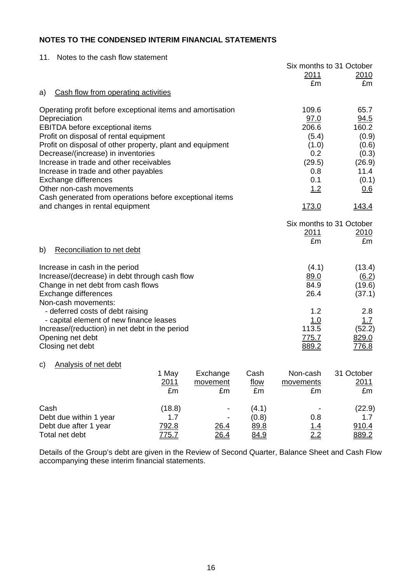| Notes to the cash flow statement<br>11.                                   |              |              |       |               |                          |
|---------------------------------------------------------------------------|--------------|--------------|-------|---------------|--------------------------|
|                                                                           |              |              |       |               | Six months to 31 October |
|                                                                           |              |              |       | 2011<br>£m    | 2010<br>£m               |
| Cash flow from operating activities<br>a)                                 |              |              |       |               |                          |
|                                                                           |              |              |       |               |                          |
| Operating profit before exceptional items and amortisation                |              |              |       | 109.6         | 65.7                     |
| Depreciation                                                              |              |              |       | 97.0<br>206.6 | 94.5                     |
| EBITDA before exceptional items<br>Profit on disposal of rental equipment |              |              |       | (5.4)         | 160.2<br>(0.9)           |
| Profit on disposal of other property, plant and equipment                 |              |              |       | (1.0)         | (0.6)                    |
| Decrease/(increase) in inventories                                        |              |              |       | 0.2           | (0.3)                    |
| Increase in trade and other receivables                                   |              |              |       | (29.5)        | (26.9)                   |
| Increase in trade and other payables                                      |              |              |       | 0.8           | 11.4                     |
| Exchange differences                                                      |              |              |       | 0.1           | (0.1)                    |
| Other non-cash movements                                                  |              |              |       | 1.2           | 0.6                      |
| Cash generated from operations before exceptional items                   |              |              |       |               |                          |
| and changes in rental equipment                                           |              | <u>173.0</u> | 143.4 |               |                          |
|                                                                           |              |              |       |               | Six months to 31 October |
|                                                                           |              |              |       | 2011          | 2010                     |
|                                                                           |              |              |       | £m            | £m                       |
| Reconciliation to net debt<br>b)                                          |              |              |       |               |                          |
| Increase in cash in the period                                            |              |              |       | (4.1)         | (13.4)                   |
| Increase/(decrease) in debt through cash flow                             |              |              |       | 89.0          | (6.2)                    |
| Change in net debt from cash flows                                        |              |              |       | 84.9          | (19.6)                   |
| Exchange differences                                                      |              |              |       | 26.4          | (37.1)                   |
| Non-cash movements:                                                       |              |              |       |               |                          |
| - deferred costs of debt raising                                          |              |              |       | 1.2           | 2.8                      |
| - capital element of new finance leases                                   |              |              |       | <u>1.0</u>    | 1.7                      |
| Increase/(reduction) in net debt in the period                            |              |              |       | 113.5         | (52.2)                   |
| Opening net debt                                                          |              |              |       | <u>775.7</u>  | 829.0                    |
| Closing net debt                                                          |              |              |       | 889.2         | <u>776.8</u>             |
| Analysis of net debt<br>C)                                                |              |              |       |               |                          |
|                                                                           | 1 May        | Exchange     | Cash  | Non-cash      | 31 October               |
|                                                                           | 2011         | movement     | flow  | movements     | 2011                     |
|                                                                           | £m           | £m           | £m    | £m            | £m                       |
| Cash                                                                      | (18.8)       |              | (4.1) |               | (22.9)                   |
| Debt due within 1 year                                                    | 1.7          |              | (0.8) | 0.8           | 1.7                      |
| Debt due after 1 year                                                     | 792.8        | 26.4         | 89.8  | 1.4           | 910.4                    |
| Total net debt                                                            | <u>775.7</u> | <u>26.4</u>  | 84.9  | 2.2           | 889.2                    |

Details of the Group's debt are given in the Review of Second Quarter, Balance Sheet and Cash Flow accompanying these interim financial statements.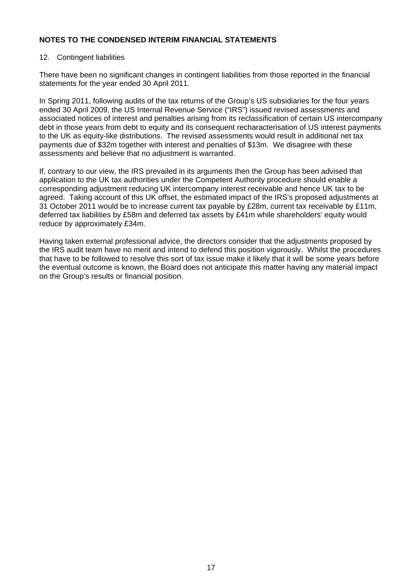### 12. Contingent liabilities

There have been no significant changes in contingent liabilities from those reported in the financial statements for the year ended 30 April 2011.

In Spring 2011, following audits of the tax returns of the Group's US subsidiaries for the four years ended 30 April 2009, the US Internal Revenue Service ("IRS") issued revised assessments and associated notices of interest and penalties arising from its reclassification of certain US intercompany debt in those years from debt to equity and its consequent recharacterisation of US interest payments to the UK as equity-like distributions. The revised assessments would result in additional net tax payments due of \$32m together with interest and penalties of \$13m. We disagree with these assessments and believe that no adjustment is warranted.

If, contrary to our view, the IRS prevailed in its arguments then the Group has been advised that application to the UK tax authorities under the Competent Authority procedure should enable a corresponding adjustment reducing UK intercompany interest receivable and hence UK tax to be agreed. Taking account of this UK offset, the estimated impact of the IRS's proposed adjustments at 31 October 2011 would be to increase current tax payable by £28m, current tax receivable by £11m, deferred tax liabilities by £58m and deferred tax assets by £41m while shareholders' equity would reduce by approximately £34m.

Having taken external professional advice, the directors consider that the adjustments proposed by the IRS audit team have no merit and intend to defend this position vigorously. Whilst the procedures that have to be followed to resolve this sort of tax issue make it likely that it will be some years before the eventual outcome is known, the Board does not anticipate this matter having any material impact on the Group's results or financial position.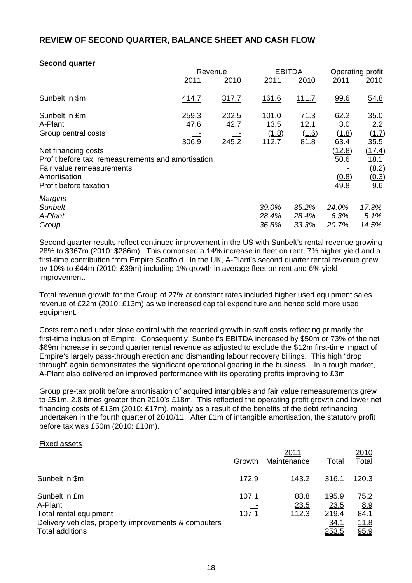# **REVIEW OF SECOND QUARTER, BALANCE SHEET AND CASH FLOW**

#### **Second quarter**

|                                                    |       | Revenue |       | <b>EBITDA</b> | Operating profit |                  |
|----------------------------------------------------|-------|---------|-------|---------------|------------------|------------------|
|                                                    | 2011  | 2010    | 2011  | 2010          | 2011             | 2010             |
| Sunbelt in \$m                                     | 414.7 | 317.7   | 161.6 | <u>111.7</u>  | 99.6             | 54.8             |
| Sunbelt in £m                                      | 259.3 | 202.5   | 101.0 | 71.3          | 62.2             | 35.0             |
| A-Plant                                            | 47.6  | 42.7    | 13.5  | 12.1          | 3.0              | $2.2\phantom{0}$ |
| Group central costs                                |       |         | (1.8) | (1.6)         | (1.8)            | (1.7)            |
|                                                    | 306.9 | 245.2   | 112.7 | 81.8          | 63.4             | 35.5             |
| Net financing costs                                |       |         |       |               | (12.8)           | (17.4)           |
| Profit before tax, remeasurements and amortisation |       |         |       |               | 50.6             | 18.1             |
| Fair value remeasurements                          |       |         |       |               |                  | (8.2)            |
| Amortisation                                       |       |         |       |               | (0.8)            | (0.3)            |
| Profit before taxation                             |       |         |       |               | <u>49.8</u>      | 96               |
| <b>Margins</b>                                     |       |         |       |               |                  |                  |
| Sunbelt                                            |       |         | 39.0% | 35.2%         | 24.0%            | 17.3%            |
| A-Plant                                            |       |         | 28.4% | 28.4%         | 6.3%             | 5.1%             |
| Group                                              |       |         | 36.8% | 33.3%         | 20.7%            | 14.5%            |

Second quarter results reflect continued improvement in the US with Sunbelt's rental revenue growing 28% to \$367m (2010: \$286m). This comprised a 14% increase in fleet on rent, 7% higher yield and a first-time contribution from Empire Scaffold. In the UK, A-Plant's second quarter rental revenue grew by 10% to £44m (2010: £39m) including 1% growth in average fleet on rent and 6% yield improvement.

Total revenue growth for the Group of 27% at constant rates included higher used equipment sales revenue of £22m (2010: £13m) as we increased capital expenditure and hence sold more used equipment.

Costs remained under close control with the reported growth in staff costs reflecting primarily the first-time inclusion of Empire. Consequently, Sunbelt's EBITDA increased by \$50m or 73% of the net \$69m increase in second quarter rental revenue as adjusted to exclude the \$12m first-time impact of Empire's largely pass-through erection and dismantling labour recovery billings. This high "drop through" again demonstrates the significant operational gearing in the business. In a tough market, A-Plant also delivered an improved performance with its operating profits improving to £3m.

Group pre-tax profit before amortisation of acquired intangibles and fair value remeasurements grew to £51m, 2.8 times greater than 2010's £18m. This reflected the operating profit growth and lower net financing costs of £13m (2010: £17m), mainly as a result of the benefits of the debt refinancing undertaken in the fourth quarter of 2010/11. After £1m of intangible amortisation, the statutory profit before tax was £50m (2010: £10m).

#### Fixed assets

|                                                                                                                                      | Growth                | 2011<br>Maintenance   | Total                                           | 2010<br><b>Total</b>                |
|--------------------------------------------------------------------------------------------------------------------------------------|-----------------------|-----------------------|-------------------------------------------------|-------------------------------------|
| Sunbelt in \$m                                                                                                                       | 172.9                 | 143.2                 | <u>316.1</u>                                    | <u>120.3</u>                        |
| Sunbelt in £m<br>A-Plant<br>Total rental equipment<br>Delivery vehicles, property improvements & computers<br><b>Total additions</b> | 107.1<br><u>107.1</u> | 88.8<br>23.5<br>112.3 | 195.9<br>23.5<br>219.4<br>34.1<br><u> 253.5</u> | 75.2<br>8.9<br>84.1<br>11.8<br>95.9 |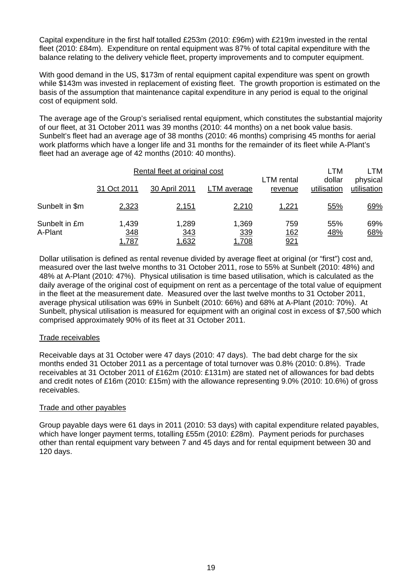Capital expenditure in the first half totalled £253m (2010: £96m) with £219m invested in the rental fleet (2010: £84m). Expenditure on rental equipment was 87% of total capital expenditure with the balance relating to the delivery vehicle fleet, property improvements and to computer equipment.

With good demand in the US, \$173m of rental equipment capital expenditure was spent on growth while \$143m was invested in replacement of existing fleet. The growth proportion is estimated on the basis of the assumption that maintenance capital expenditure in any period is equal to the original cost of equipment sold.

The average age of the Group's serialised rental equipment, which constitutes the substantial majority of our fleet, at 31 October 2011 was 39 months (2010: 44 months) on a net book value basis. Sunbelt's fleet had an average age of 38 months (2010: 46 months) comprising 45 months for aerial work platforms which have a longer life and 31 months for the remainder of its fleet while A-Plant's fleet had an average age of 42 months (2010: 40 months).

|                          | Rental fleet at original cost |                       |                              |                                                       | LTM                     | LTM        |
|--------------------------|-------------------------------|-----------------------|------------------------------|-------------------------------------------------------|-------------------------|------------|
|                          | 31 Oct 2011                   | 30 April 2011         | LTM average                  | dollar<br><b>LTM</b> rental<br>utilisation<br>revenue | physical<br>utilisation |            |
| Sunbelt in \$m           | 2,323                         | <u>2,151</u>          | 2,210                        | <u>1,221</u>                                          | 55%                     | 69%        |
| Sunbelt in £m<br>A-Plant | 1,439<br>348<br><u>1,787</u>  | 1,289<br>343<br>1,632 | 1,369<br>339<br><u>1,708</u> | 759<br><u>162</u><br>921                              | 55%<br><u>48%</u>       | 69%<br>68% |

Dollar utilisation is defined as rental revenue divided by average fleet at original (or "first") cost and, measured over the last twelve months to 31 October 2011, rose to 55% at Sunbelt (2010: 48%) and 48% at A-Plant (2010: 47%). Physical utilisation is time based utilisation, which is calculated as the daily average of the original cost of equipment on rent as a percentage of the total value of equipment in the fleet at the measurement date. Measured over the last twelve months to 31 October 2011, average physical utilisation was 69% in Sunbelt (2010: 66%) and 68% at A-Plant (2010: 70%). At Sunbelt, physical utilisation is measured for equipment with an original cost in excess of \$7,500 which comprised approximately 90% of its fleet at 31 October 2011.

### Trade receivables

Receivable days at 31 October were 47 days (2010: 47 days). The bad debt charge for the six months ended 31 October 2011 as a percentage of total turnover was 0.8% (2010: 0.8%). Trade receivables at 31 October 2011 of £162m (2010: £131m) are stated net of allowances for bad debts and credit notes of £16m (2010: £15m) with the allowance representing 9.0% (2010: 10.6%) of gross receivables.

#### Trade and other payables

Group payable days were 61 days in 2011 (2010: 53 days) with capital expenditure related payables, which have longer payment terms, totalling £55m (2010: £28m). Payment periods for purchases other than rental equipment vary between 7 and 45 days and for rental equipment between 30 and 120 days.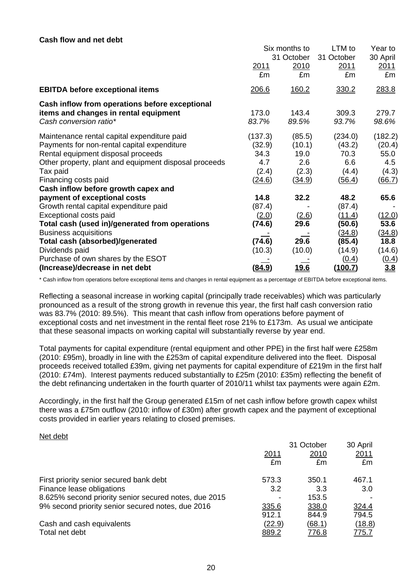#### **Cash flow and net debt**

|                                                                 | Six months to<br>31 October |                | LTM to<br>31 October | Year to<br>30 April |
|-----------------------------------------------------------------|-----------------------------|----------------|----------------------|---------------------|
|                                                                 | 2011<br>£m                  | 2010<br>£m     | 2011<br>£m           | 2011<br>£m          |
| <b>EBITDA before exceptional items</b>                          | 206.6                       | 160.2          | 330.2                | 283.8               |
| Cash inflow from operations before exceptional                  |                             |                |                      |                     |
| items and changes in rental equipment<br>Cash conversion ratio* | 173.0<br>83.7%              | 143.4<br>89.5% | 309.3<br>93.7%       | 279.7<br>98.6%      |
| Maintenance rental capital expenditure paid                     | (137.3)                     | (85.5)         | (234.0)              | (182.2)             |
| Payments for non-rental capital expenditure                     | (32.9)                      | (10.1)         | (43.2)               | (20.4)              |
| Rental equipment disposal proceeds                              | 34.3                        | 19.0           | 70.3                 | 55.0                |
| Other property, plant and equipment disposal proceeds           | 4.7                         | 2.6            | 6.6                  | 4.5                 |
| Tax paid                                                        | (2.4)                       | (2.3)          | (4.4)                | (4.3)               |
| Financing costs paid                                            | (24.6)                      | (34.9)         | (56.4)               | (66.7)              |
| Cash inflow before growth capex and                             |                             |                |                      |                     |
| payment of exceptional costs                                    | 14.8                        | 32.2           | 48.2                 | 65.6                |
| Growth rental capital expenditure paid                          | (87.4)                      |                | (87.4)               |                     |
| Exceptional costs paid                                          | (2.0)                       | (2.6)          | (11.4)               | (12.0)              |
| Total cash (used in)/generated from operations                  | (74.6)                      | 29.6           | (50.6)               | 53.6                |
| <b>Business acquisitions</b>                                    |                             |                | (34.8)               | (34.8)              |
| <b>Total cash (absorbed)/generated</b>                          | (74.6)                      | 29.6           | (85.4)               | 18.8                |
| Dividends paid                                                  | (10.3)                      | (10.0)         | (14.9)               | (14.6)              |
| Purchase of own shares by the ESOT                              |                             |                | (0.4)                | <u>(0.4)</u>        |
| (Increase)/decrease in net debt                                 | <u>(84.9)</u>               | <u> 19.6</u>   | (100.7)              | 3.8                 |

\* Cash inflow from operations before exceptional items and changes in rental equipment as a percentage of EBITDA before exceptional items.

Reflecting a seasonal increase in working capital (principally trade receivables) which was particularly pronounced as a result of the strong growth in revenue this year, the first half cash conversion ratio was 83.7% (2010: 89.5%). This meant that cash inflow from operations before payment of exceptional costs and net investment in the rental fleet rose 21% to £173m. As usual we anticipate that these seasonal impacts on working capital will substantially reverse by year end.

Total payments for capital expenditure (rental equipment and other PPE) in the first half were £258m (2010: £95m), broadly in line with the £253m of capital expenditure delivered into the fleet. Disposal proceeds received totalled £39m, giving net payments for capital expenditure of £219m in the first half (2010: £74m). Interest payments reduced substantially to £25m (2010: £35m) reflecting the benefit of the debt refinancing undertaken in the fourth quarter of 2010/11 whilst tax payments were again £2m.

Accordingly, in the first half the Group generated £15m of net cash inflow before growth capex whilst there was a £75m outflow (2010: inflow of £30m) after growth capex and the payment of exceptional costs provided in earlier years relating to closed premises.

#### Net debt

|                                                       |               | 31 October   | 30 April      |
|-------------------------------------------------------|---------------|--------------|---------------|
|                                                       | <u> 2011</u>  | <u>2010</u>  | 2011          |
|                                                       | £m            | £m           | £m            |
| First priority senior secured bank debt               | 573.3         | 350.1        | 467.1         |
| Finance lease obligations                             | 3.2           | 3.3          | 3.0           |
| 8.625% second priority senior secured notes, due 2015 |               | 153.5        |               |
| 9% second priority senior secured notes, due 2016     | 335.6         | 338.0        | 324.4         |
|                                                       | 912.1         | 844.9        | 794.5         |
| Cash and cash equivalents                             | <u>(22.9)</u> | (68.1)       | <u>(18.8)</u> |
| Total net debt                                        | <u>889.2</u>  | <u>776.8</u> | <u>775.7</u>  |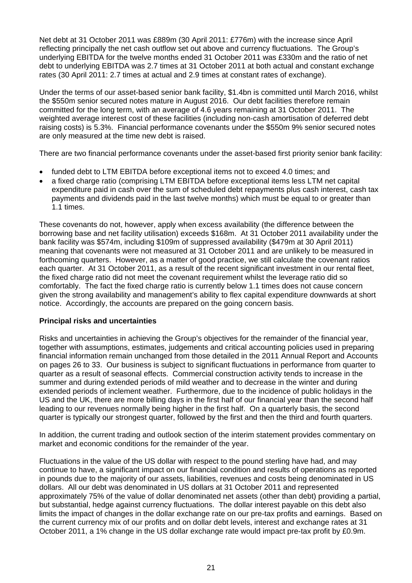Net debt at 31 October 2011 was £889m (30 April 2011: £776m) with the increase since April reflecting principally the net cash outflow set out above and currency fluctuations. The Group's underlying EBITDA for the twelve months ended 31 October 2011 was £330m and the ratio of net debt to underlying EBITDA was 2.7 times at 31 October 2011 at both actual and constant exchange rates (30 April 2011: 2.7 times at actual and 2.9 times at constant rates of exchange).

Under the terms of our asset-based senior bank facility, \$1.4bn is committed until March 2016, whilst the \$550m senior secured notes mature in August 2016. Our debt facilities therefore remain committed for the long term, with an average of 4.6 years remaining at 31 October 2011. The weighted average interest cost of these facilities (including non-cash amortisation of deferred debt raising costs) is 5.3%. Financial performance covenants under the \$550m 9% senior secured notes are only measured at the time new debt is raised.

There are two financial performance covenants under the asset-based first priority senior bank facility:

- funded debt to LTM EBITDA before exceptional items not to exceed 4.0 times; and
- a fixed charge ratio (comprising LTM EBITDA before exceptional items less LTM net capital expenditure paid in cash over the sum of scheduled debt repayments plus cash interest, cash tax payments and dividends paid in the last twelve months) which must be equal to or greater than 1.1 times.

These covenants do not, however, apply when excess availability (the difference between the borrowing base and net facility utilisation) exceeds \$168m. At 31 October 2011 availability under the bank facility was \$574m, including \$109m of suppressed availability (\$479m at 30 April 2011) meaning that covenants were not measured at 31 October 2011 and are unlikely to be measured in forthcoming quarters. However, as a matter of good practice, we still calculate the covenant ratios each quarter. At 31 October 2011, as a result of the recent significant investment in our rental fleet, the fixed charge ratio did not meet the covenant requirement whilst the leverage ratio did so comfortably. The fact the fixed charge ratio is currently below 1.1 times does not cause concern given the strong availability and management's ability to flex capital expenditure downwards at short notice. Accordingly, the accounts are prepared on the going concern basis.

### **Principal risks and uncertainties**

Risks and uncertainties in achieving the Group's objectives for the remainder of the financial year, together with assumptions, estimates, judgements and critical accounting policies used in preparing financial information remain unchanged from those detailed in the 2011 Annual Report and Accounts on pages 26 to 33. Our business is subject to significant fluctuations in performance from quarter to quarter as a result of seasonal effects. Commercial construction activity tends to increase in the summer and during extended periods of mild weather and to decrease in the winter and during extended periods of inclement weather. Furthermore, due to the incidence of public holidays in the US and the UK, there are more billing days in the first half of our financial year than the second half leading to our revenues normally being higher in the first half. On a quarterly basis, the second quarter is typically our strongest quarter, followed by the first and then the third and fourth quarters.

In addition, the current trading and outlook section of the interim statement provides commentary on market and economic conditions for the remainder of the year.

Fluctuations in the value of the US dollar with respect to the pound sterling have had, and may continue to have, a significant impact on our financial condition and results of operations as reported in pounds due to the majority of our assets, liabilities, revenues and costs being denominated in US dollars. All our debt was denominated in US dollars at 31 October 2011 and represented approximately 75% of the value of dollar denominated net assets (other than debt) providing a partial, but substantial, hedge against currency fluctuations. The dollar interest payable on this debt also limits the impact of changes in the dollar exchange rate on our pre-tax profits and earnings. Based on the current currency mix of our profits and on dollar debt levels, interest and exchange rates at 31 October 2011, a 1% change in the US dollar exchange rate would impact pre-tax profit by £0.9m.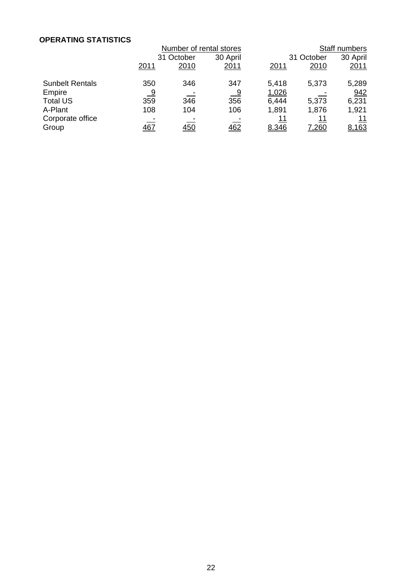### **OPERATING STATISTICS**

|                           | Number of rental stores |            |              |             | Staff numbers      |             |  |
|---------------------------|-------------------------|------------|--------------|-------------|--------------------|-------------|--|
|                           |                         | 31 October |              | 31 October  |                    | 30 April    |  |
|                           | <u>2011</u>             | 2010       | <u> 2011</u> | <u>2011</u> | 2010               | 2011        |  |
| <b>Sunbelt Rentals</b>    | 350                     | 346        | 347          | 5,418       | 5,373              | 5,289       |  |
| Empire                    | <u>_9</u>               |            | <u>_ 9</u>   | 1,026       |                    | 942         |  |
| <b>Total US</b>           | 359                     | 346        | 356          | 6,444       | 5,373              | 6,231       |  |
| A-Plant                   | 108                     | 104        | 106          | 1,891       | 1,876              | 1,921       |  |
| Corporate office<br>Group | <u>467</u>              | 450        | 462          | 11<br>8.346 | 11<br><u>7,260</u> | 11<br>8,163 |  |
|                           |                         |            |              |             |                    |             |  |